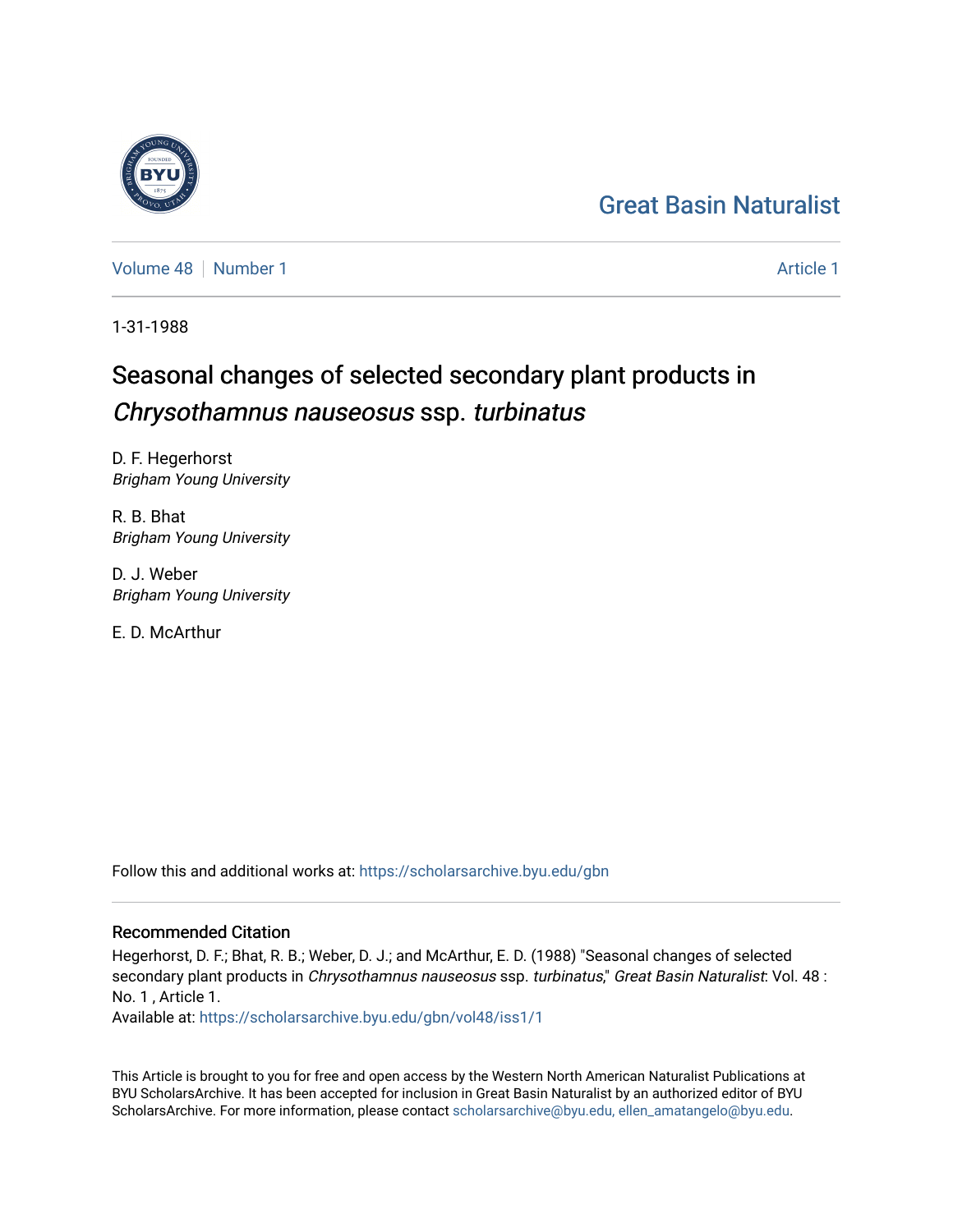# [Great Basin Naturalist](https://scholarsarchive.byu.edu/gbn)

[Volume 48](https://scholarsarchive.byu.edu/gbn/vol48) [Number 1](https://scholarsarchive.byu.edu/gbn/vol48/iss1) [Article 1](https://scholarsarchive.byu.edu/gbn/vol48/iss1/1) Article 1 Article 1 Article 1 Article 1 Article 1 Article 1

1-31-1988

# Seasonal changes of selected secondary plant products in Chrysothamnus nauseosus ssp. turbinatus

D. F. Hegerhorst Brigham Young University

R. B. Bhat Brigham Young University

D. J. Weber Brigham Young University

E. D. McArthur

Follow this and additional works at: [https://scholarsarchive.byu.edu/gbn](https://scholarsarchive.byu.edu/gbn?utm_source=scholarsarchive.byu.edu%2Fgbn%2Fvol48%2Fiss1%2F1&utm_medium=PDF&utm_campaign=PDFCoverPages) 

# Recommended Citation

Hegerhorst, D. F.; Bhat, R. B.; Weber, D. J.; and McArthur, E. D. (1988) "Seasonal changes of selected secondary plant products in Chrysothamnus nauseosus ssp. turbinatus," Great Basin Naturalist: Vol. 48 : No. 1 , Article 1.

Available at: [https://scholarsarchive.byu.edu/gbn/vol48/iss1/1](https://scholarsarchive.byu.edu/gbn/vol48/iss1/1?utm_source=scholarsarchive.byu.edu%2Fgbn%2Fvol48%2Fiss1%2F1&utm_medium=PDF&utm_campaign=PDFCoverPages)

This Article is brought to you for free and open access by the Western North American Naturalist Publications at BYU ScholarsArchive. It has been accepted for inclusion in Great Basin Naturalist by an authorized editor of BYU ScholarsArchive. For more information, please contact [scholarsarchive@byu.edu, ellen\\_amatangelo@byu.edu.](mailto:scholarsarchive@byu.edu,%20ellen_amatangelo@byu.edu)

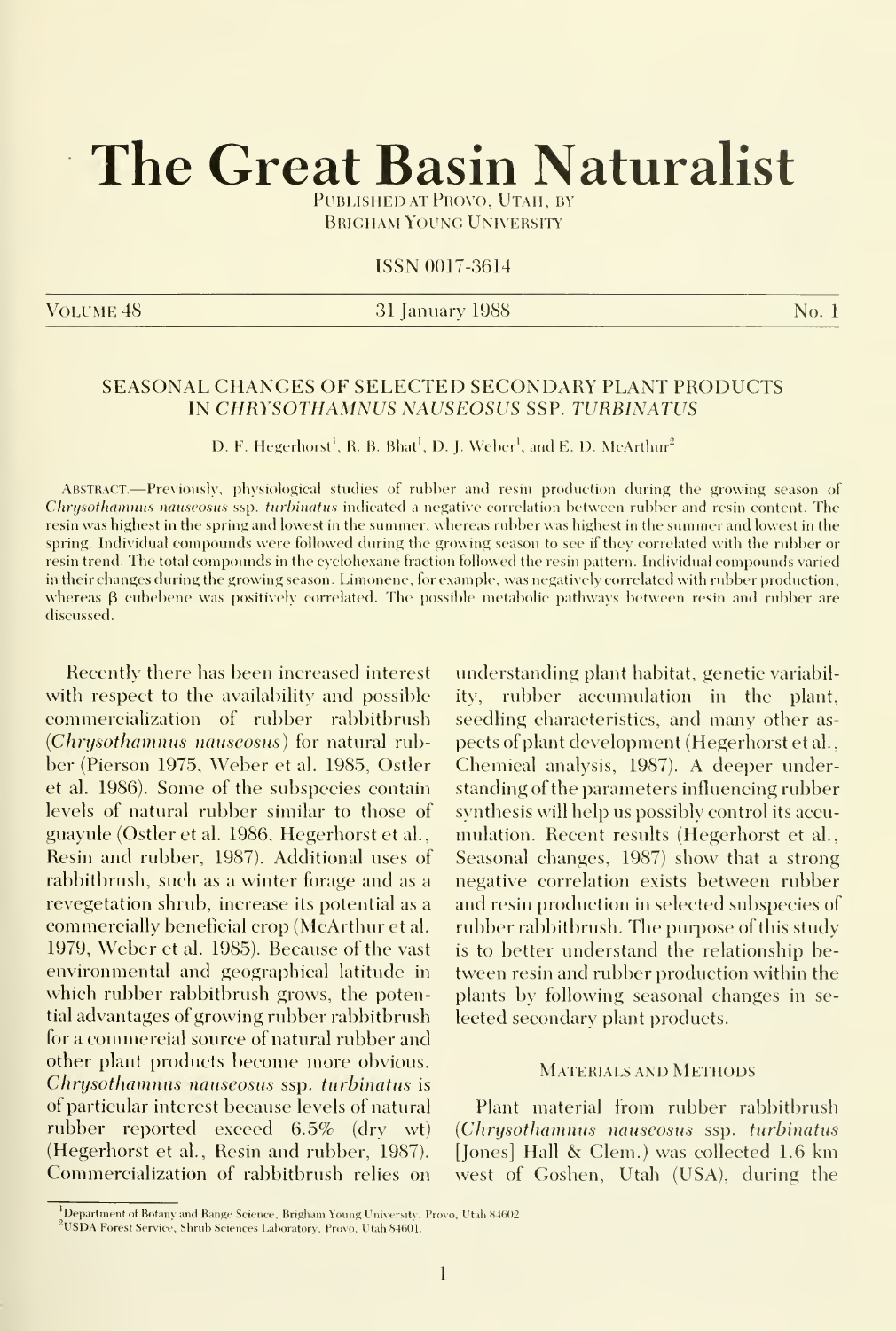# The Great Basin Naturalist

Published at Provo, Utah, by **BRIGHAM YOUNG UNIVERSITY** 

### ISSN 0017-3614

VOLUME 48 No. 1 September 2013 1 January 1988 No. 1 September 2014 No. 1 No. 1

## SEASONAL CHANGES OF SELECTED SECONDARY PLANT PRODUCTS IN CHRYSOTHAMNUS NAUSEOSUS SSP. TURBINATUS

D. F. Hegerhorst<sup>1</sup>, R. B. Bhat<sup>1</sup>, D. J. Weber<sup>1</sup>, and E. D. McArthur<sup>2</sup>

Abstract.—Previously, physiological studies of rubber and resin production during the growing season of Chrysothamnus nauseosus ssp. turbinatus indicated a negative correlation between rubber and resin content. The resin was highest in the spring and lowest in the summer, whereas rubber was highest in the siunmer and lowest in the spring. Individual compounds were followed during the growing season to see if they correlated with the rubber or resin trend. The total compounds in the cyclohexane fraction followed the resin pattern. Individual compounds varied in their changes during the growing season. Limonene, for example, was negatively correlated with rubber production, whereas  $\beta$  cubebene was positively correlated. The possible metabolic pathways between resin and rubber are discussed.

Recently there has been increased interest with respect to the availability and possible commercialization of rubber rabbitbrush {Chrysothammis nauseosus) for natural rubber (Pierson 1975, Weber et al. 1985, Ostler et al. 1986). Some of the subspecies contain levels of natural rubber similar to those of guayule (Ostler et al. 1986, Hegerhorst et al. Resin and rubber, 1987). Additional uses of rabbitbrush, such as a winter forage and as a revegetation shrub, increase its potential as a commercially beneficial crop (McArthur et al. 1979, Weber et al. 1985). Because of the vast environmental and geographical latitude in which rubber rabbitbrush grows, the potential advantages of growing rubber rabbitbrush for a commercial source of natural rubber and other plant products become more obvious. Chrysothamnus nauseosus ssp. turbinatus is of particular interest because levels of natural rubber reported exceed 6.5% (dry wt) (Hegerhorst et al., Resin and rubber, 1987). Commercialization of rabbitbrush relies on

understanding plant habitat, genetic variability, rubber accumulation in the plant, seedling characteristics, and many other as pects of plant development (Hegerhorst et al. Chemical analysis, 1987). A deeper understanding of the parameters influencing rubber synthesis will help us possibly control its accu mulation. Recent results (Hegerhorst et al.. Seasonal changes, 1987) show that a strong negative correlation exists between rubber and resin production in selected subspecies of rubber rabbitbrush. The purpose of this study is to better understand the relationship between resin and rubber production within the plants by following seasonal changes in se lected secondary plant products.

#### Materials and Methods

Plant material from rubber rabbitbrush {Chrysothammis nauseosus ssp. turhinatus [Jones] Hall & Clem.) was collected 1.6 km west of Goshen, Utah (USA), during the

<sup>&</sup>lt;sup>1</sup>Department of Botany and Range Science, Brigham Young University, Provo, Utah 84602.

<sup>&</sup>lt;sup>2</sup>USDA Forest Service, Shrub Sciences Laboratory, Provo, Utah 84601.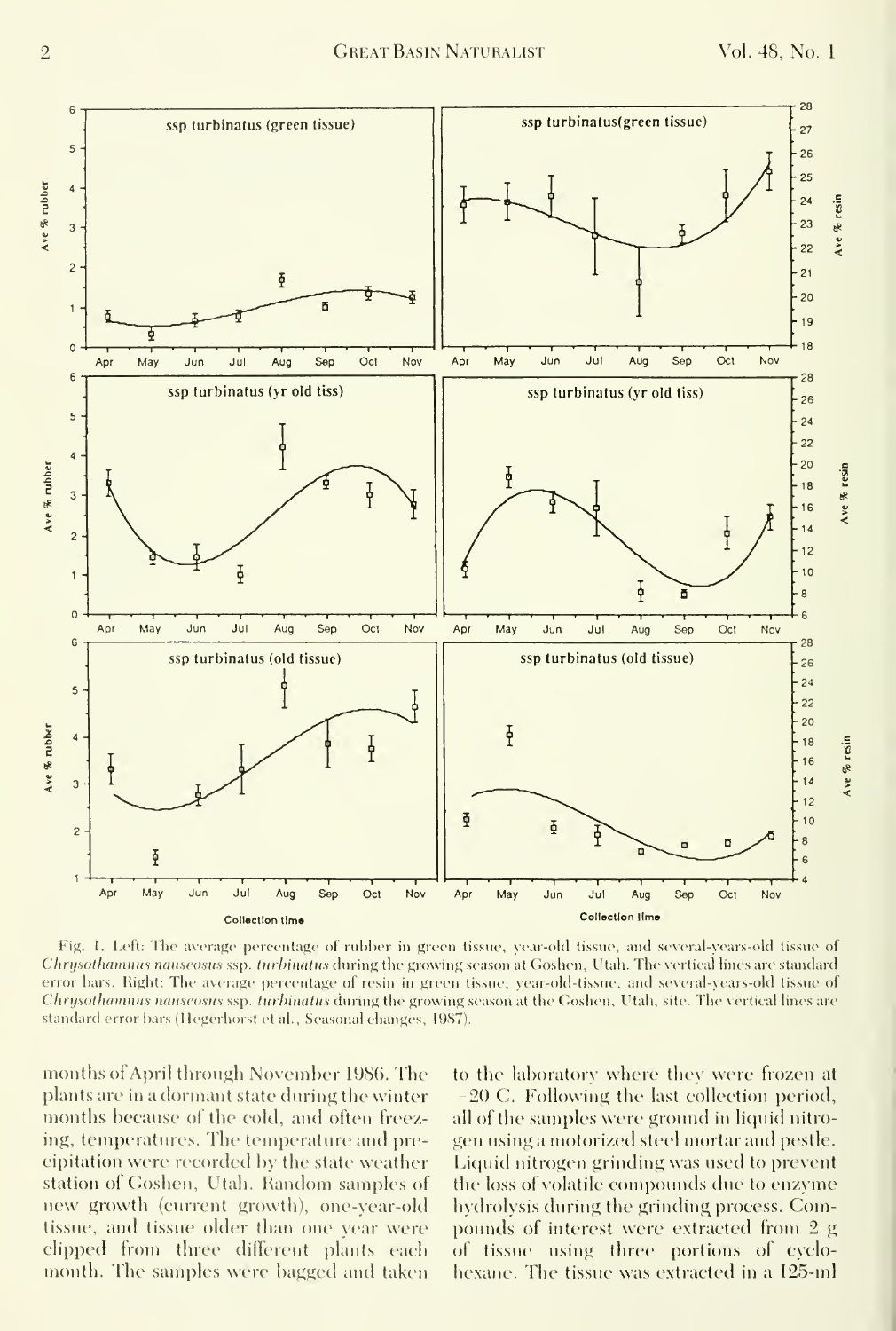

Fig. 1. Left: The average percentage of rubber in green tissue, year-old tissue, and several-years-old tissue of Chrysothammus nauseosus ssp. turbinatus during the growing season at Goshen, Utah. The vertical lines are standard error bars. Right: The average percentage of resin in green tissue, year-old-tissue, and several-years-old tissue of Chrysothamnus nauseosus ssp. turbinatus during the growing season at the Goshen, Utah, site. The vertical lines are standard error bars (Hegerhorst et al., Seasonal changes, 1987).

months of April through November 1986. The plants are in a dormant state during the winter months because of the cold, and often freezing, temperatures. The temperature and precipitation were recorded by the state weather station of Goshen, Utah. Random samples of new growth (current growth), one-year-old tissue, and tissue older than one year were clipped from three different plants each month. The samples were bagged and taken

to the laboratory where they were frozen at 20 C. Following the last collection period, all of the samples were ground in liquid nitrogen using a motorized steel mortar and pestle. Liquid nitrogen grinding was used to prevent the loss of volatile compounds due to enzyme hydrolysis during the grinding process. Compounds of interest were extracted from 2 g of tissue using three portions of cyclohexane. The tissue was extracted in a 125-ml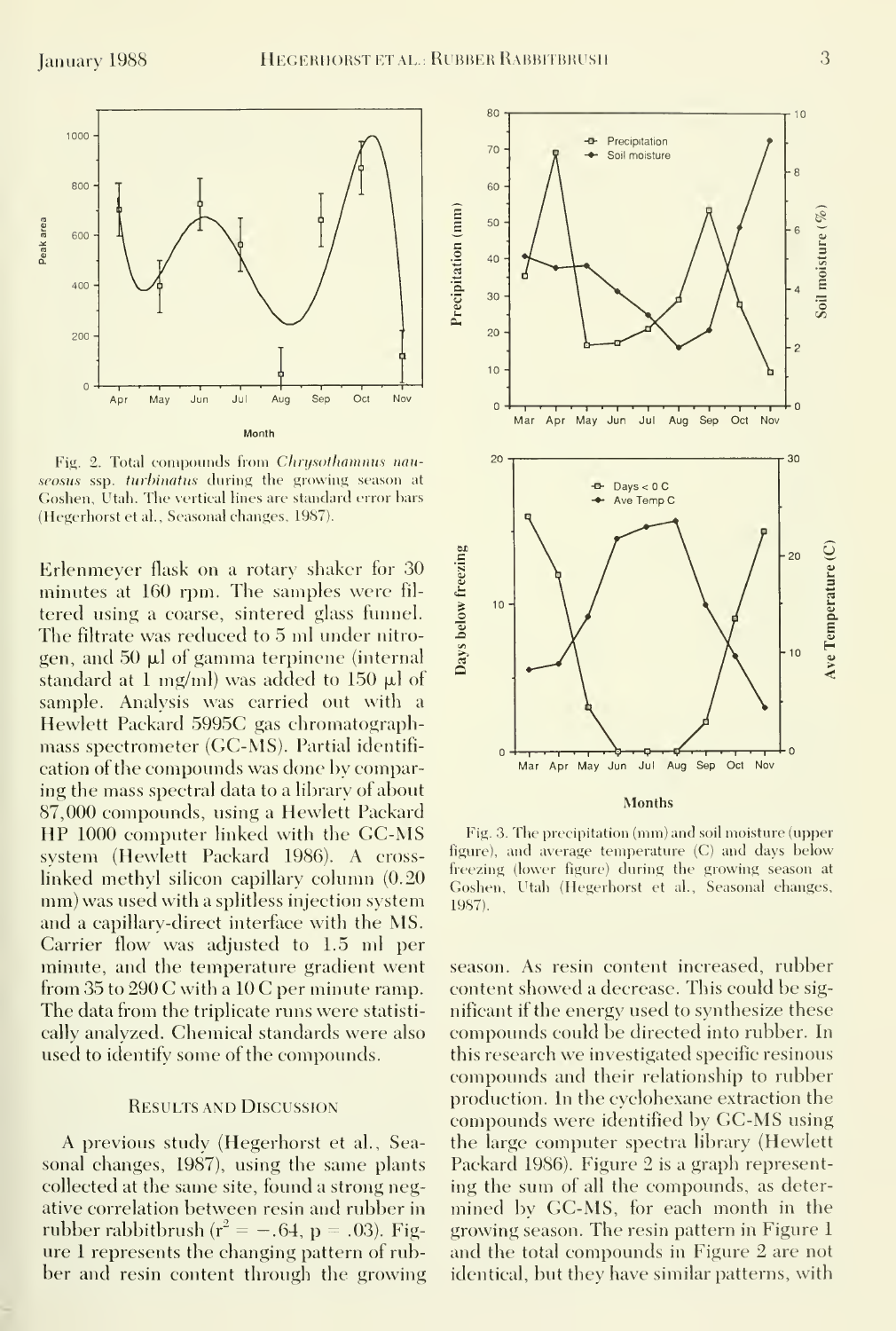

Fig. 2. Total compounds from Chrysothamnus nauseosus ssp. turbinatus during the growing season at Goshen, Utah. The vertical lines are standard error bars (Hegerhorst et al., Seasonal changes, 1987).

Erlenmeyer flask on a rotary shaker for 30 minutes at 160 rpm. The samples were filtered using a coarse, sintered glass funnel. The filtrate was reduced to 5 ml under nitrogen, and 50 µl of gamma terpinene (internal standard at 1 mg/ml) was added to 150  $\mu$ l of sample. Analysis was carried out with a Hewlett Packard 5995C gas chromatographmass spectrometer (GC-MS). Partial identifieation of the compounds was done by comparing the mass spectral data to a library of about 87,000 compounds, using a Hewlett Packard HP 1000 computer linked with the GC-MS system (Hewlett Packard 1986). A crosslinked methyl silicon capillary column (0.20) mm) was used with a splitless injection system and a capillary-direct interface with the MS. Carrier flow was adjusted to 1.5 ml per minute, and the temperature gradient went from 35 to 290 C with a 10 C per minute ramp. The data from the triplicate runs were statistically analyzed. Chemical standards were also used to identify some of the compounds.

#### **RESULTS AND DISCUSSION**

A previous study (Hegerhorst et al., Seasonal changes, 1987), using the same plants collected at the same site, found a strong negative correlation between resin and rubber in rubber rabbitbrush ( $r^2 = -.64$ , p = .03). Figure 1 represents the changing pattern of rubber and resin content through the growing



**Months** 

Fig. 3. The precipitation (mm) and soil moisture (upper figure), and average temperature (C) and days below freezing (lower figure) during the growing season at Goshen, Utah (Hegerhorst et al., Seasonal changes, 1987).

season. As resin content increased, rubber content showed a decrease. This could be significant if the energy used to synthesize these compounds could be directed into rubber. In this research we investigated specific resinous compounds and their relationship to rubber production. In the cyclohexane extraction the compounds were identified by GC-MS using the large computer spectra library (Hewlett) Packard 1986). Figure 2 is a graph representing the sum of all the compounds, as determined by GC-MS, for each month in the growing season. The resin pattern in Figure 1 and the total compounds in Figure 2 are not identical, but they have similar patterns, with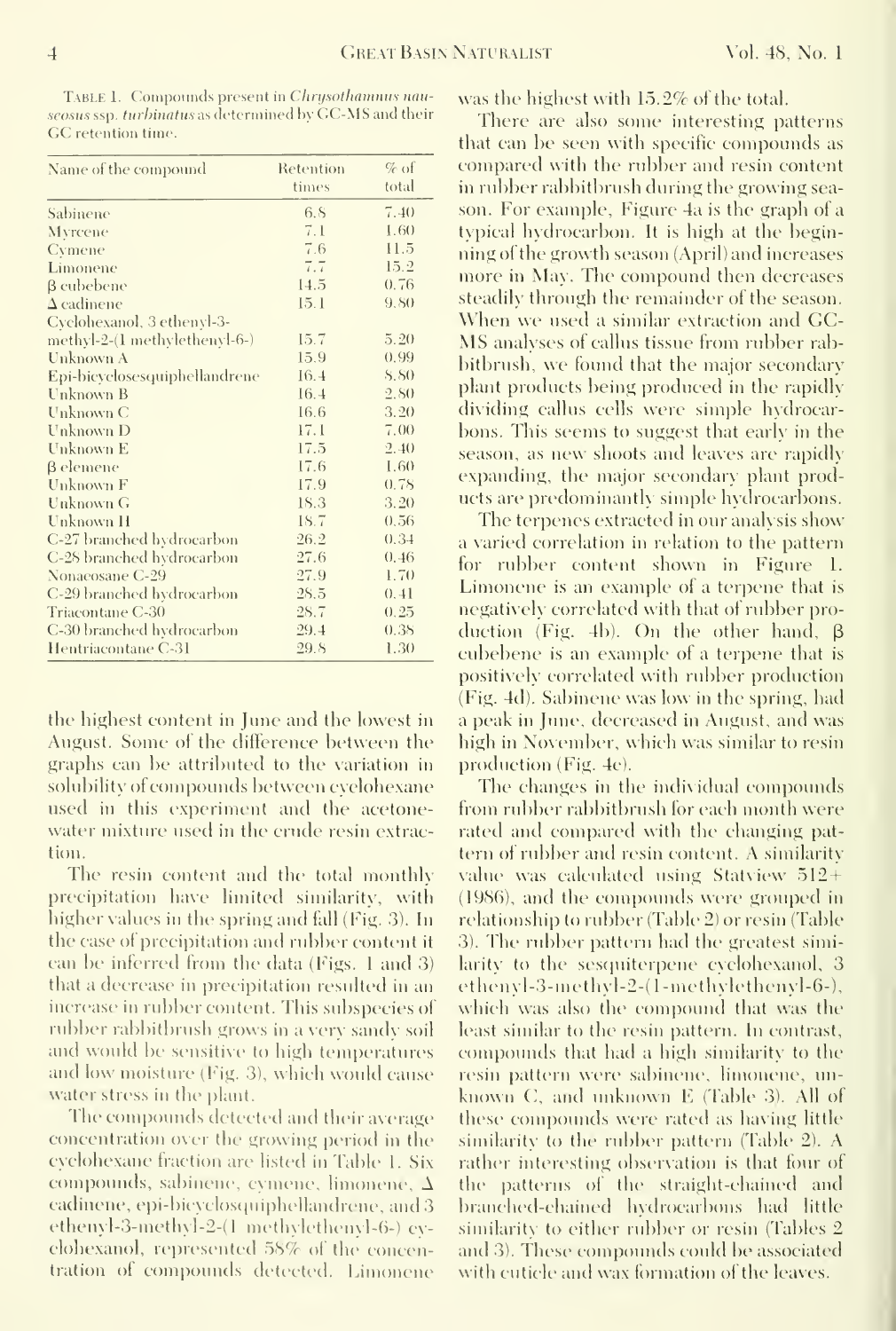Vol. 48, No. 1

TABLE 1. Compounds present in Chrysothamnus nauseosus ssp. turbinatus as determined by GC-MS and their GC retention time.

| Name of the compound          | Retention | $\%$ of     |
|-------------------------------|-----------|-------------|
|                               | times     | total       |
| Sabinene                      | 6.8       | 7.40        |
| Myrcene                       | 7.1       | 1.60        |
| Cymene                        | 7.6       | 11.5        |
| Limonene                      | 7.7       | 15.2        |
| $\beta$ cubebene              | 14.5      | 0.76        |
| $\Delta$ cadinene             | 15.1      | 9.80        |
| Cyclohexanol, 3 ethenyl-3-    |           |             |
| methyl-2-(1 methylethenyl-6-) | 15.7      | 5.20        |
| Unknown A                     | 15.9      | 0.99        |
| Epi-bicyclosesquiphellandrene | 16.4      | <b>S.SO</b> |
| Unknown B                     | 16.4      | 2,80        |
| Unknown C                     | 16.6      | 3.20        |
| Unknown D                     | 17.1      | 7.00        |
| Unknown E                     | 17.5      | 2.40        |
| β elemene                     | 17.6      | 1.60        |
| Unknown F                     | 17.9      | 0.78        |
| <b>Unknown G</b>              | 18.3      | 3.20        |
| Unknown H                     | 18.7      | 0,56        |
| C-27 branched hydrocarbon     | 26.2      | 0.34        |
| C-28 branched hydrocarbon     | 27.6      | 0.46        |
| Nonaeosane C-29               | 27.9      | 1.70        |
| C-29 branched hydrocarbon     | 28.5      | 0, 41       |
| Triacontane C-30              | 28.7      | 0.25        |
| C-30 branched hydrocarbon     | 29.4      | 0.38        |
| Hentriacontane C-31           | 29.8      | 1.30        |

the highest content in June and the lowest in August. Some of the difference between the graphs can be attributed to the variation in solubility of compounds between evelohexane used in this experiment and the acetonewater mixture used in the erude resin extraction.

The resin content and the total monthly precipitation have limited similarity, with higher values in the spring and fall (Fig. 3). In the case of precipitation and rubber content it can be inferred from the data (Figs. 1 and 3) that a decrease in precipitation resulted in an increase in rubber content. This subspecies of rubber rabbitbrush grows in a very sandy soil and would be sensitive to high temperatures and low moisture (Fig. 3), which would cause water stress in the plant.

The compounds detected and their average concentration over the growing period in the evelohexane fraction are listed in Table 1. Six compounds, sabinene, cymene, limonene,  $\Delta$ cadinene, epi-bicyclosquiphellandrene, and 3 ethenyl-3-methyl-2-(1 methylethenyl-6-) evelohexanol, represented 58% of the concentration of compounds detected. Limonene was the highest with 15.2% of the total.

There are also some interesting patterns that can be seen with specific compounds as compared with the rubber and resin content in rubber rabbitbrush during the growing season. For example, Figure 4a is the graph of a typical hydrocarbon. It is high at the beginning of the growth season (April) and increases more in May. The compound then decreases steadily through the remainder of the season. When we used a similar extraction and GC-MS analyses of callus tissue from rubber rabbitbrush, we found that the major secondary plant products being produced in the rapidly dividing callus cells were simple hydrocarbons. This seems to suggest that early in the season, as new shoots and leaves are rapidly expanding, the major secondary plant products are predominantly simple hydrocarbons.

The terpenes extracted in our analysis show a varied correlation in relation to the pattern for rubber content shown in Figure 1. Limonene is an example of a terpene that is negatively correlated with that of rubber production (Fig. 4b). On the other hand,  $\beta$ cubebene is an example of a terpene that is positively correlated with rubber production (Fig. 4d). Sabinene was low in the spring, had a peak in June, decreased in August, and was high in November, which was similar to resin production (Fig. 4c).

The changes in the individual compounds from rubber rabbitbrush for each month were rated and compared with the changing pattern of rubber and resin content. A similarity value was calculated using Statview 512+ (1986), and the compounds were grouped in relationship to rubber (Table 2) or resin (Table 3). The rubber pattern had the greatest similarity to the sesquiterpene evelohexanol, 3 ethenyl-3-methyl-2-(1-methylethenyl-6-), which was also the compound that was the least similar to the resin pattern. In contrast, compounds that had a high similarity to the resin pattern were sabinene, limonene, unknown C, and unknown E (Table 3). All of these compounds were rated as having little similarity to the rubber pattern (Table 2). A rather interesting observation is that four of the patterns of the straight-chained and branched-chained hydrocarbons had little similarity to either rubber or resin (Tables 2) and 3). These compounds could be associated with cutiele and way formation of the leaves.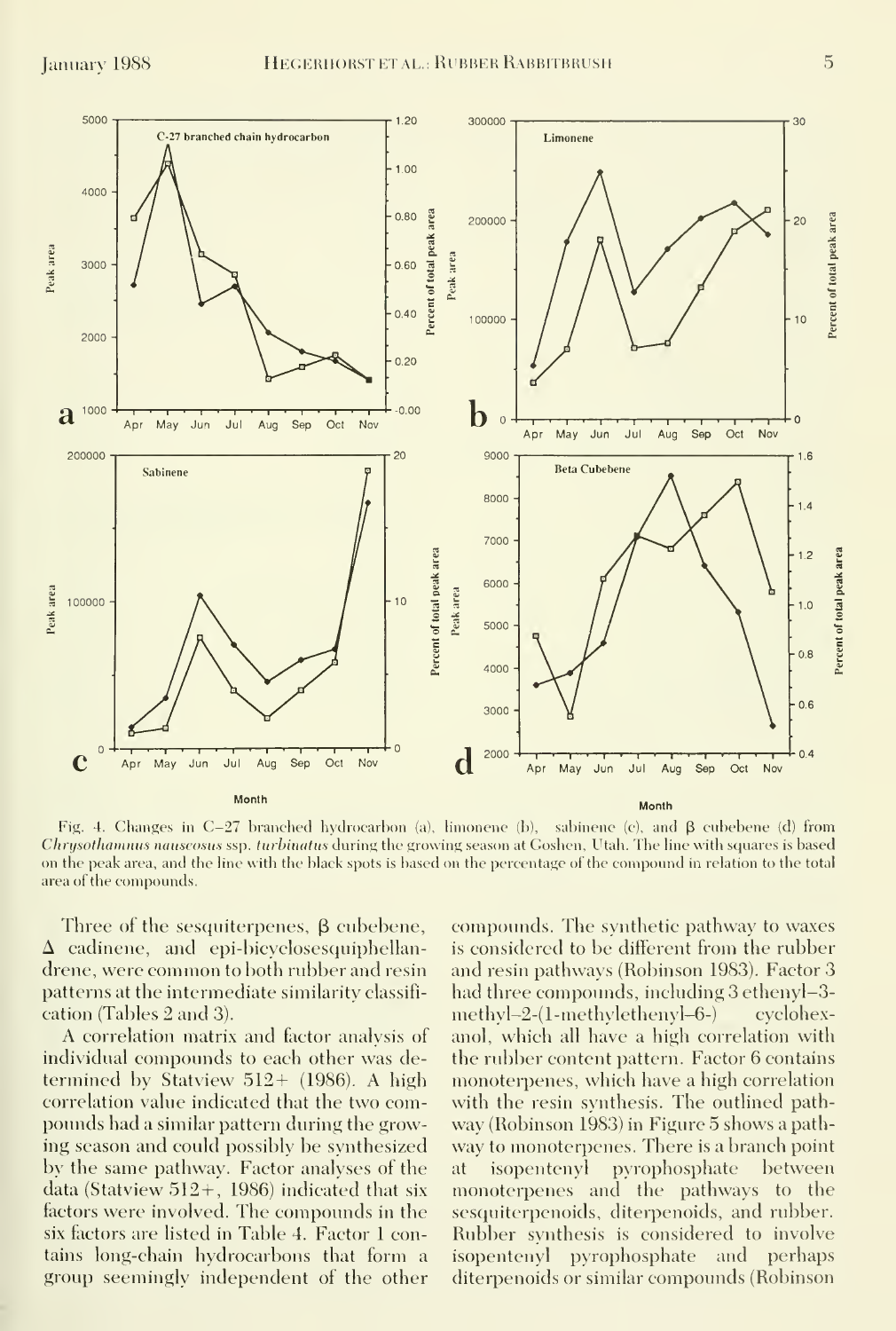

Fig. 4. Changes in C-27 branched hydrocarbon (a), limonene (b), sabinene (c), and  $\beta$  cubebene (d) from Chrysothamnus nauseosus ssp. turbinatus during the growing season at Goshen, Utah. The line with squares is based on the peak area, and the line with the black spots is based on the percentage of the compound in relation to the total area of the compounds.

Three of the sesquiterpenes,  $\beta$  cubebene,  $\Delta$  cadinene, and epi-bicyclosesquiphellandrene, were common toboth rubber and resin patterns at the intermediate similarity classifi cation (Tables 2 and 3).

A correlation matrix and factor analysis of individual compounds to each other was determined by Statview 512+ (1986). A high correlation value indicated that the two compounds had a similar pattern during the growing season and could possibly be synthesized by the same pathway. Factor analyses of the data (Statview  $512+$ , 1986) indicated that six factors were involved. The compounds in the six factors are listed in Table 4. Factor <sup>1</sup> contains long-chain hydrocarbons that form a group seemingly independent of the other

compounds. The synthetic pathway to waxes is considered to be different from the rubber and resin pathways (Robinson 1983). Factor 3 had three compounds, including 3 ethenyl-3methyl-2-(1-methylethenyl-6-) cyclohexanol, which all have a high correlation with the rubber content pattern. Factor 6 contains monoterpenes, which have a high correlation with the resin synthesis. The outlined pathway (Robinson 1983) in Figure 5 shows a pathway to monoterpenes. There is a branch point isopentenyl pyrophosphate between monoterpenes and the pathways to the sesquiterpenoids, diterpenoids, and rubber. Rubber synthesis is considered to involve isopentenyl pyrophosphate and perhaps diterpenoids or similar compounds (Robinson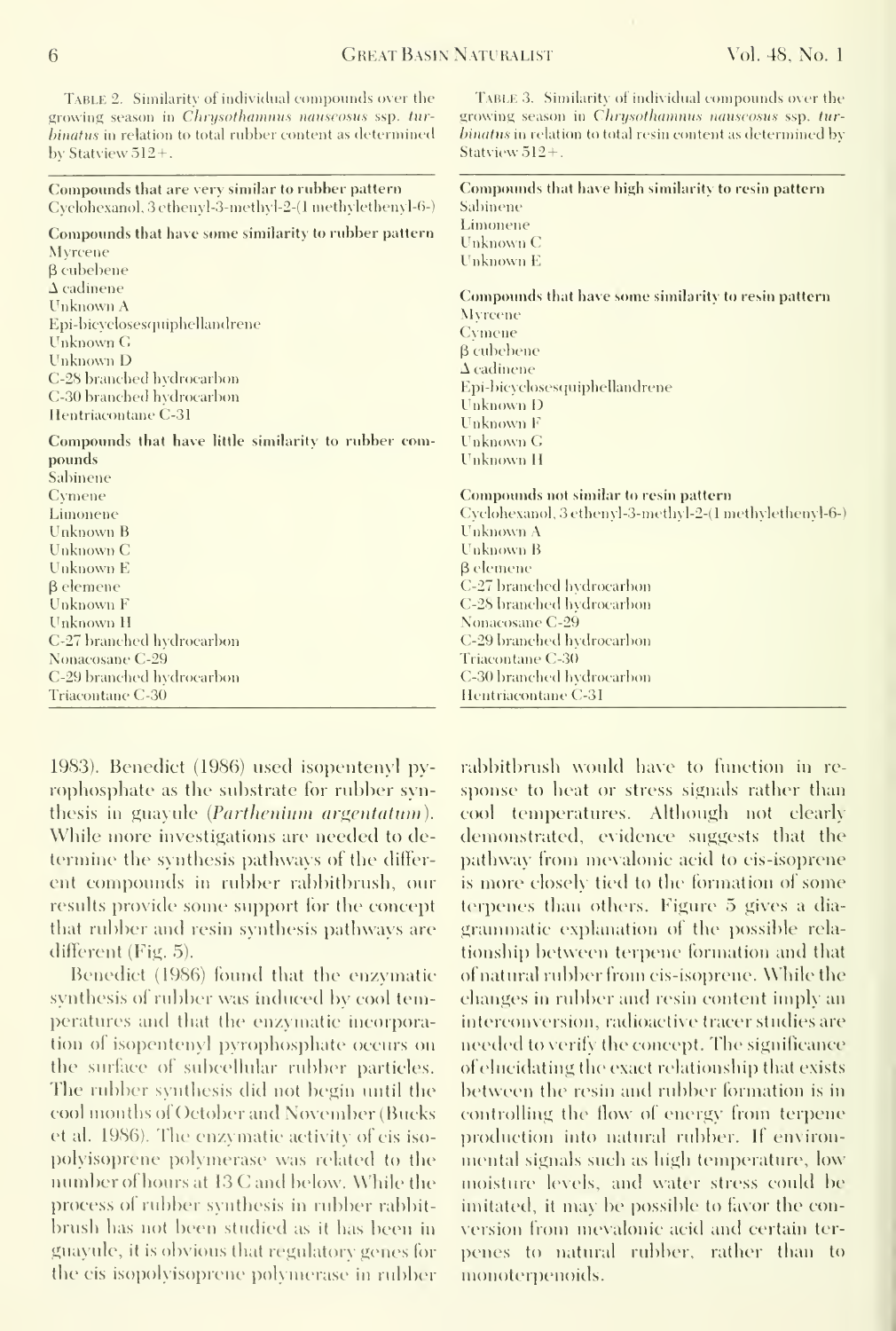Table 2. Similarity of individual compounds over the growing season in Chrysothamnus nauseosus ssp. turhinatus in relation to total rubber content as determined by Statview 512+.

Compounds that are very similar to rubber pattern Cyclohexanol, 3 ethenyI-3-methyl-2-(l niethylethenyl-6-) Compounds that have some similarity to rubber pattern Compounds that have little similarity to rubber comgrowing season in Chrysothammus nauseosus ssp. tur $b$ inatus in relation to total resin content as determined by Statview 512+. Compounds that have high similarity to resin pattern Sabinene Linionene Unknown C I'nknown E Compounds that have some similarity to resin pattern Myrcene Cymene 3 cubebene A cadinene Epi-bicyclosesquiphellandrene Unknown D Unknown F Unknown G Unknown H Compounds not similar to resin pattern

TABLE 3. Similarity of individual compounds over the

Cyclohexanol, 3 ethenyl-3-methyl-2-(1 methylethenyl-6-) Unknown A Unknown B B elemene C-27 branched h\drocarbon C-2S branched Indrocarbon Nonacosane C-29 C-29 branched hydrocaibon Triacontane C-3() C-30 branched hydrocarbon Hentriacontane C-31

1983). Benedict (1986) used isopentenyl py rophosphate as the substrate for rubber synthesis in guayule (*Parthenium argentatum*). While more investigations are needed to determine the synthesis pathways of the differ ent compounds in rubber rabbitbrush, our results provide some support for the concept that rubber and resin synthesis pathways are different (Fig. 5).

Benedict (1986) found that the enzymatic synthesis of rubber was induced by cool temperatures and that the enzymatic incorporation of isopentenyl pyrophosphate occurs on the surface of subcellular rubber particles. The rubber synthesis did not begin until the cool months of October and November (Bucks et al. 1986). The enzymatic activity of cis iso polyisoprcne polymerase was related to the number ofhours at <sup>13</sup> C and below. While the process of rubber synthesis in rubber rabbit brush has not been studied as it has been in guayule, it is obvious that regulatory genes for the cis isopolvisoprene polymerase in rubber rabbitbrush would have to function in re sponse to heat or stress signals rather than cool temperatures. Although not clearly demonstrated, exidence suggests that the pathway from mevalonic acid to cis-isoprene is more closely tied to the formation of some terpenes than others. Figure 5 gives a diagrammatic explanation of the possible rela tionship between terpene formation and that of natural rubber from cis-isoprene. While the changes in rubber and resin content imply an interconversion, radioactive tracer studies are needed to verify the concept. The significance of elucidating the exact relationship that exists between the resin and rubber formation is in controlling the flow of energy from terpene production into natural rubber. If environmental signals such as high temperature, low moisture levels, and water stress could be imitated, it may be possible to favor the conversion from mevalonic acid and certain terpenes to natural rubber, rather than to monoternenoids.

Myrcene P cubebene A cadinene Unknown A

Unknown G Unknown D

pounds Sabinene Cymene Limonene Unknown B Unknown C Unknown E  $\beta$  elemene<br>Unknown F Unknown H

Epi-bicyclosesquiphellandrene

C-28 branched hydrocarbon C-30 branched hydrocarbon Hentriacontane C-31

C-27 branched hydrocarbon Nonacosane C-29 C-29 branched hydrocarbon Triacontane C'-30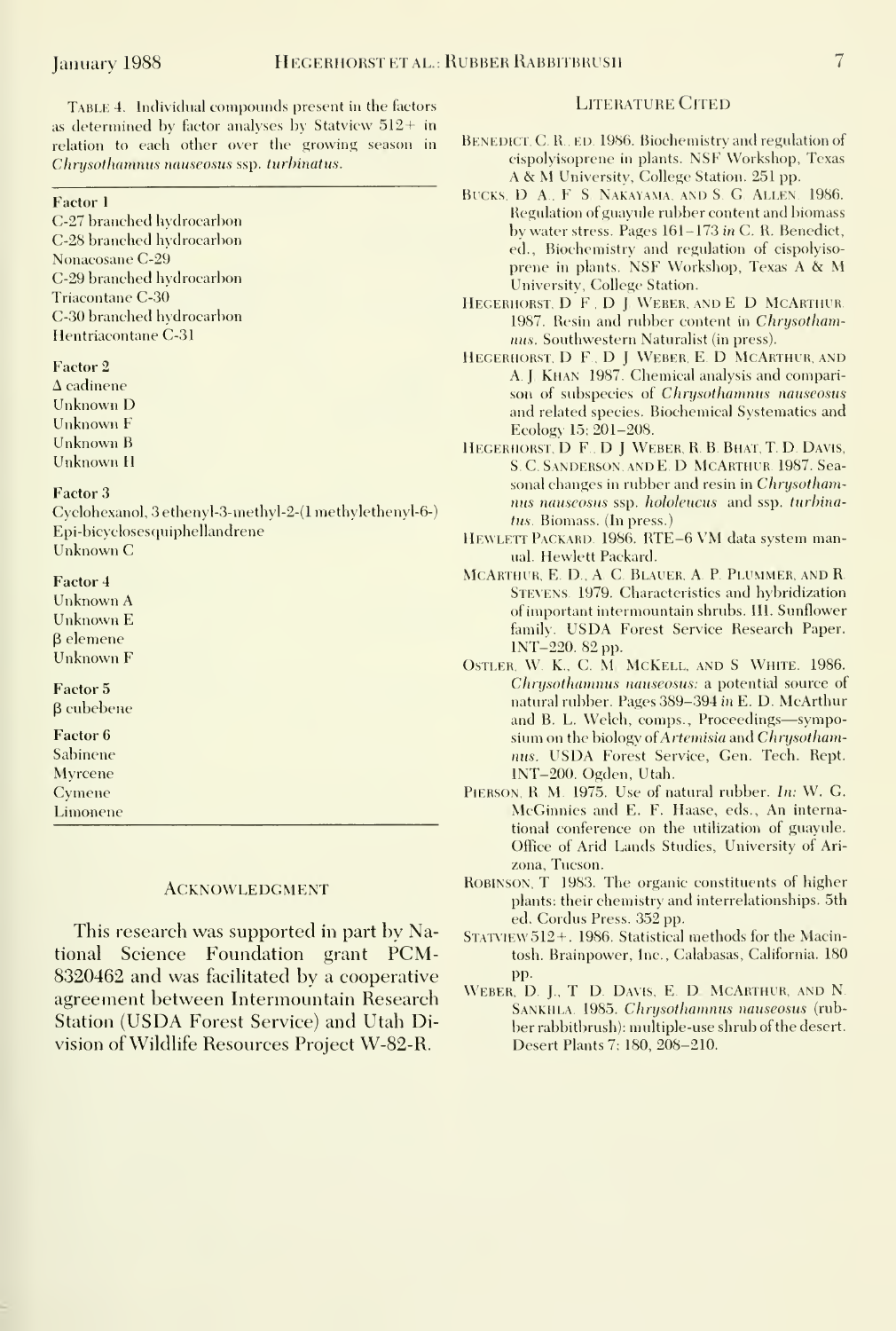TABLE 4. Individual compounds present in the factors as determined by factor analyses by Statview  $512+$  in relation to each other over the growing season in Chrysothamnus nauseosus ssp. turbinatus.

#### Factor <sup>1</sup>

C-27 branched hydrocarbon C-28 branched h\drocarbon Nonacosane C-29 C-29 branched hydrocarbon Triacontane C-30 C-30 branched hydrocarbon Hentriacontane C-31

#### Factor 2

 $\Delta$  cadinene Unknown D Unknown F Unknown B Unknown H

#### Factor 3

Cyclohexanol, 3ethenyl-3-methyl-2-(l methylethenyl-6-) Epi-bicyclosesquiphellandrene Unknown C

#### Factor 4

Unknown A Unknown E 3 elemene Unknown F

## Factor 5

P cubebene

# Factor 6

Sabinene Myrcene Cymene Limonene

**ACKNOWLEDGMENT** 

This research was supported in part by National Science Foundation grant PCM-8320462 and was facilitated by a cooperative agreement between Intermountain Research Station (USDA Forest Service) and Utah Division of Wildhfe Resources Project W-82-R.

#### LITERATURE CITED

- BENEDICT, C. R., ED. 1986. Biochemistry and regulation of cispolyisoprene in plants. NSF Workshop, Texas A & M University, College Station. <sup>251</sup> pp.
- BUCKS, D. A., F. S. NAKAYAMA, AND S. G. ALLEN. 1986. Regulation of guayule rubber content and biomass by water stress. Pages 161-173 in C. R. Benedict, ed.. Biochemistry and regulation of cispolyiso prene in plants. NSF Workshop, Texas A & M University, College Station.
- Hegerhorst. D F , D <sup>J</sup> Weber, and E D McArthur 1987. Resin and rubber content in Chrysothamnus. Southwestern Naturalist (in press).
- HEGERHORST, D. F., D. J. WEBER, E. D. MCARTHUR, AND A. J. Khan 1987. Chemical analysis and comparison of subspecies of Chrysothamnus nauseosus and related species. Biochemical Systematics and Ecology 15: 201-208.
- HEGERHORST, D. F., D. J. WEBER, R. B. BHAT, T. D. DAVIS, S, C Sanderson, and E D McArthur. 1987. Seasonal changes in rubber and resin in Chrysothamnus nauseosus ssp. hololeucus and ssp. turhinatus. Biomass. (In press.)
- HEWLETT PACKARD. 1986. RTE-6 VM data system manual. Hewlett Packard.
- MCARTHUR, E. D., A. C. BLAUER, A. P. PLUMMER, AND R. Stevens. 1979. Characteristics and hybridization ofimportant intermountain shrubs. III. Sunflower family. USDA Forest Service Research Paper. INT-220. 82 pp.
- Ostler, W K., C. M. McKell, and S. White. 1986. Chrysothamnus nauseosus: a potential source of natural rubber. Pages 389-394 in E. D. McArthur and B. L. Welch, comps.. Proceedings—symposium on the biology o{Artemisia and Chrysothamnus. USDA Forest Service, Gen. Tech. Rept. INT-200. Ogden, Utah.
- Pierson, R, M. 1975. Use of natural rubber. In: W. G. McGinnies and E. F. Haase, eds.. An international conference on the utilization of guayule. Office of Arid Lands Studies, University of Ari zona, Tucson.
- Robinson, T 1983. The organic constituents of higher plants: their chemistry and interrelationships. 5th ed. Cordus Press. 352 pp.
- $S$ TATVIEW  $512+$ . 1986. Statistical methods for the Macintosh. Brainpower, Inc., Calabasas, California. 180 pp.
- WEBER, D. J., T. D. DAVIS, E. D. MCARTHUR, AND N. SANKHLA. 1985. Chrysothamnus nauseosus (rubber rabbitbrush): multiple-use shrub of the desert. Desert Plants 7: 180, 208-210.